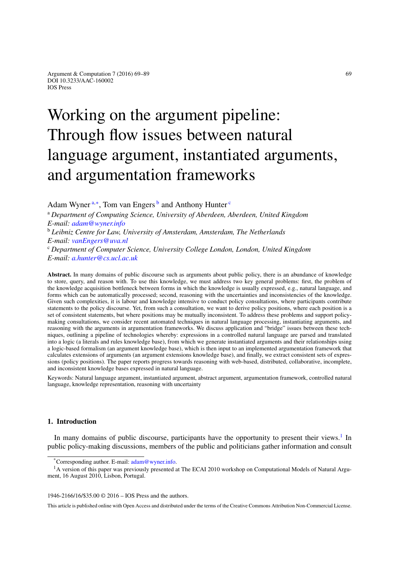# Working on the argument pipeline: Through flow issues between natural language argument, instantiated arguments, and argumentation frameworks

<span id="page-0-0"></span>Ad[a](#page-0-0)m Wyner<sup>a,[∗](#page-0-1)</sup>, Tom van Engers<sup>[b](#page-0-2)</sup> and Anthony Hunter<sup>[c](#page-0-3)</sup>

<sup>a</sup> *Department of Computing Science, University of Aberdeen, Aberdeen, United Kingdom E-mail: [adam@wyner.info](mailto:adam@wyner.info)*

<span id="page-0-2"></span><sup>b</sup> *Leibniz Centre for Law, University of Amsterdam, Amsterdam, The Netherlands E-mail: [vanEngers@uva.nl](mailto:vanEngers@uva.nl)*

<span id="page-0-3"></span><sup>c</sup> *Department of Computer Science, University College London, London, United Kingdom E-mail: [a.hunter@cs.ucl.ac.uk](mailto:a.hunter@cs.ucl.ac.uk)*

**Abstract.** In many domains of public discourse such as arguments about public policy, there is an abundance of knowledge to store, query, and reason with. To use this knowledge, we must address two key general problems: first, the problem of the knowledge acquisition bottleneck between forms in which the knowledge is usually expressed, e.g., natural language, and forms which can be automatically processed; second, reasoning with the uncertainties and inconsistencies of the knowledge. Given such complexities, it is labour and knowledge intensive to conduct policy consultations, where participants contribute statements to the policy discourse. Yet, from such a consultation, we want to derive policy positions, where each position is a set of consistent statements, but where positions may be mutually inconsistent. To address these problems and support policymaking consultations, we consider recent automated techniques in natural language processing, instantiating arguments, and reasoning with the arguments in argumentation frameworks. We discuss application and "bridge" issues between these techniques, outlining a pipeline of technologies whereby: expressions in a controlled natural language are parsed and translated into a logic (a literals and rules knowledge base), from which we generate instantiated arguments and their relationships using a logic-based formalism (an argument knowledge base), which is then input to an implemented argumentation framework that calculates extensions of arguments (an argument extensions knowledge base), and finally, we extract consistent sets of expressions (policy positions). The paper reports progress towards reasoning with web-based, distributed, collaborative, incomplete, and inconsistent knowledge bases expressed in natural language.

Keywords: Natural language argument, instantiated argument, abstract argument, argumentation framework, controlled natural language, knowledge representation, reasoning with uncertainty

## **1. Introduction**

In many domains of public discourse, participants have the opportunity to present their views.<sup>[1](#page-0-4)</sup> In public policy-making discussions, members of the public and politicians gather information and consult

1946-2166/16/\$35.00 © 2016 – IOS Press and the authors.

This article is published online with Open Access and distributed under the terms of the Creative Commons Attribution Non-Commercial License.

<span id="page-0-4"></span><span id="page-0-1"></span><sup>\*</sup>Corresponding author. E-mail: [adam@wyner.info.](mailto:adam@wyner.info)

<sup>&</sup>lt;sup>1</sup>A version of this paper was previously presented at The ECAI 2010 workshop on Computational Models of Natural Argument, 16 August 2010, Lisbon, Portugal.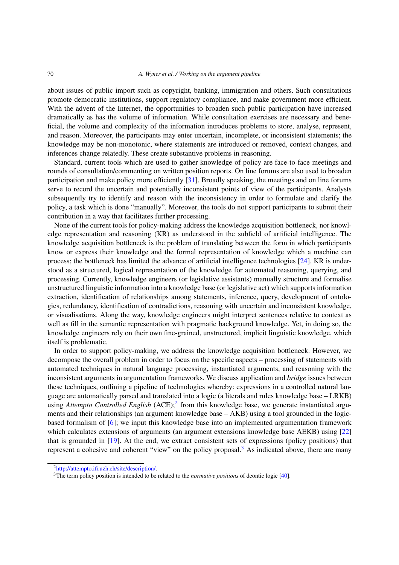#### 70 *A. Wyner et al. / Working on the argument pipeline*

about issues of public import such as copyright, banking, immigration and others. Such consultations promote democratic institutions, support regulatory compliance, and make government more efficient. With the advent of the Internet, the opportunities to broaden such public participation have increased dramatically as has the volume of information. While consultation exercises are necessary and beneficial, the volume and complexity of the information introduces problems to store, analyse, represent, and reason. Moreover, the participants may enter uncertain, incomplete, or inconsistent statements; the knowledge may be non-monotonic, where statements are introduced or removed, context changes, and inferences change relatedly. These create substantive problems in reasoning.

Standard, current tools which are used to gather knowledge of policy are face-to-face meetings and rounds of consultation/commenting on written position reports. On line forums are also used to broaden participation and make policy more efficiently [\[31](#page-19-0)]. Broadly speaking, the meetings and on line forums serve to record the uncertain and potentially inconsistent points of view of the participants. Analysts subsequently try to identify and reason with the inconsistency in order to formulate and clarify the policy, a task which is done "manually". Moreover, the tools do not support participants to submit their contribution in a way that facilitates further processing.

None of the current tools for policy-making address the knowledge acquisition bottleneck, nor knowledge representation and reasoning (KR) as understood in the subfield of artificial intelligence. The knowledge acquisition bottleneck is the problem of translating between the form in which participants know or express their knowledge and the formal representation of knowledge which a machine can process; the bottleneck has limited the advance of artificial intelligence technologies [\[24\]](#page-18-0). KR is understood as a structured, logical representation of the knowledge for automated reasoning, querying, and processing. Currently, knowledge engineers (or legislative assistants) manually structure and formalise unstructured linguistic information into a knowledge base (or legislative act) which supports information extraction, identification of relationships among statements, inference, query, development of ontologies, redundancy, identification of contradictions, reasoning with uncertain and inconsistent knowledge, or visualisations. Along the way, knowledge engineers might interpret sentences relative to context as well as fill in the semantic representation with pragmatic background knowledge. Yet, in doing so, the knowledge engineers rely on their own fine-grained, unstructured, implicit linguistic knowledge, which itself is problematic.

In order to support policy-making, we address the knowledge acquisition bottleneck. However, we decompose the overall problem in order to focus on the specific aspects – processing of statements with automated techniques in natural language processing, instantiated arguments, and reasoning with the inconsistent arguments in argumentation frameworks. We discuss application and *bridge* issues between these techniques, outlining a pipeline of technologies whereby: expressions in a controlled natural language are automatically parsed and translated into a logic (a literals and rules knowledge base – LRKB) using *Attempto Controlled English* (ACE);<sup>2</sup> from this knowledge base, we generate instantiated arguments and their relationships (an argument knowledge base – AKB) using a tool grounded in the logicbased formalism of [\[6](#page-18-1)]; we input this knowledge base into an implemented argumentation framework which calculates extensions of arguments (an argument extensions knowledge base AEKB) using [\[22\]](#page-18-2) that is grounded in [\[19\]](#page-18-3). At the end, we extract consistent sets of expressions (policy positions) that represent a cohesive and coherent "view" on the policy proposal.<sup>3</sup> As indicated above, there are many

<span id="page-1-0"></span>[<sup>2</sup>http://attempto.ifi.uzh.ch/site/description/.](http://attempto.ifi.uzh.ch/site/description/)

<span id="page-1-1"></span><sup>3</sup>The term policy position is intended to be related to the *normative positions* of deontic logic [\[40](#page-19-1)].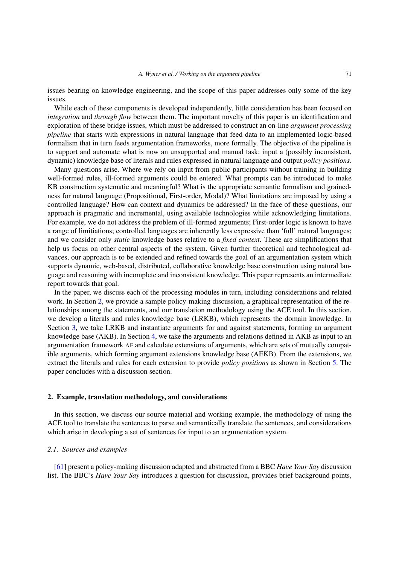issues bearing on knowledge engineering, and the scope of this paper addresses only some of the key issues.

While each of these components is developed independently, little consideration has been focused on *integration* and *through flow* between them. The important novelty of this paper is an identification and exploration of these bridge issues, which must be addressed to construct an on-line *argument processing pipeline* that starts with expressions in natural language that feed data to an implemented logic-based formalism that in turn feeds argumentation frameworks, more formally. The objective of the pipeline is to support and automate what is now an unsupported and manual task: input a (possibly inconsistent, dynamic) knowledge base of literals and rules expressed in natural language and output *policy positions*.

Many questions arise. Where we rely on input from public participants without training in building well-formed rules, ill-formed arguments could be entered. What prompts can be introduced to make KB construction systematic and meaningful? What is the appropriate semantic formalism and grainedness for natural language (Propositional, First-order, Modal)? What limitations are imposed by using a controlled language? How can context and dynamics be addressed? In the face of these questions, our approach is pragmatic and incremental, using available technologies while acknowledging limitations. For example, we do not address the problem of ill-formed arguments; First-order logic is known to have a range of limitiations; controlled languages are inherently less expressive than 'full' natural languages; and we consider only *static* knowledge bases relative to a *fixed context*. These are simplifications that help us focus on other central aspects of the system. Given further theoretical and technological advances, our approach is to be extended and refined towards the goal of an argumentation system which supports dynamic, web-based, distributed, collaborative knowledge base construction using natural language and reasoning with incomplete and inconsistent knowledge. This paper represents an intermediate report towards that goal.

In the paper, we discuss each of the processing modules in turn, including considerations and related work. In Section [2,](#page-2-0) we provide a sample policy-making discussion, a graphical representation of the relationships among the statements, and our translation methodology using the ACE tool. In this section, we develop a literals and rules knowledge base (LRKB), which represents the domain knowledge. In Section [3,](#page-8-0) we take LRKB and instantiate arguments for and against statements, forming an argument knowledge base (AKB). In Section [4,](#page-14-0) we take the arguments and relations defined in AKB as input to an argumentation framework AF and calculate extensions of arguments, which are sets of mutually compatible arguments, which forming argument extensions knowledge base (AEKB). From the extensions, we extract the literals and rules for each extension to provide *policy positions* as shown in Section [5.](#page-15-0) The paper concludes with a discussion section.

#### <span id="page-2-0"></span>**2. Example, translation methodology, and considerations**

In this section, we discuss our source material and working example, the methodology of using the ACE tool to translate the sentences to parse and semantically translate the sentences, and considerations which arise in developing a set of sentences for input to an argumentation system.

#### <span id="page-2-1"></span>*2.1. Sources and examples*

[\[61](#page-20-0)] present a policy-making discussion adapted and abstracted from a BBC *Have Your Say* discussion list. The BBC's *Have Your Say* introduces a question for discussion, provides brief background points,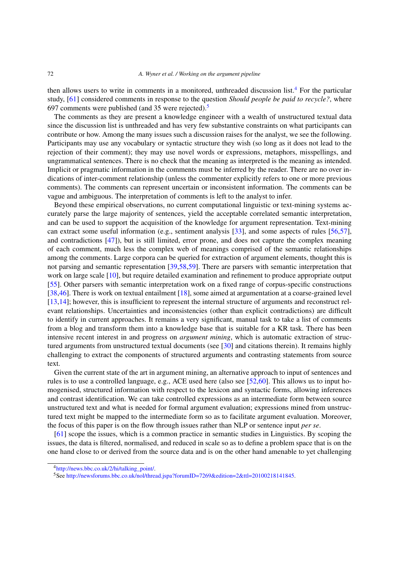then allows users to write in comments in a monitored, unthreaded discussion list.[4](#page-3-0) For the particular study, [\[61](#page-20-0)] considered comments in response to the question *Should people be paid to recycle?*, where 697 comments were published (and 35 were rejected).[5](#page-3-1)

The comments as they are present a knowledge engineer with a wealth of unstructured textual data since the discussion list is unthreaded and has very few substantive constraints on what participants can contribute or how. Among the many issues such a discussion raises for the analyst, we see the following. Participants may use any vocabulary or syntactic structure they wish (so long as it does not lead to the rejection of their comment); they may use novel words or expressions, metaphors, misspellings, and ungrammatical sentences. There is no check that the meaning as interpreted is the meaning as intended. Implicit or pragmatic information in the comments must be inferred by the reader. There are no over indications of inter-comment relationship (unless the commenter explicitly refers to one or more previous comments). The comments can represent uncertain or inconsistent information. The comments can be vague and ambiguous. The interpretation of comments is left to the analyst to infer.

Beyond these empirical observations, no current computational linguistic or text-mining systems accurately parse the large majority of sentences, yield the acceptable correlated semantic interpretation, and can be used to support the acquisition of the knowledge for argument representation. Text-mining can extract some useful information (e.g., sentiment analysis [\[33\]](#page-19-2), and some aspects of rules [\[56](#page-20-1)[,57](#page-20-2)], and contradictions [\[47](#page-19-3)]), but is still limited, error prone, and does not capture the complex meaning of each comment, much less the complex web of meanings comprised of the semantic relationships among the comments. Large corpora can be queried for extraction of argument elements, thought this is not parsing and semantic representation [\[39](#page-19-4)[,58](#page-20-3)[,59\]](#page-20-4). There are parsers with semantic interpretation that work on large scale [\[10](#page-18-4)], but require detailed examination and refinement to produce appropriate output [\[55](#page-20-5)]. Other parsers with semantic interpretation work on a fixed range of corpus-specific constructions [\[38](#page-19-5)[,46](#page-19-6)]. There is work on textual entailment [\[18](#page-18-5)], some aimed at argumentation at a coarse-grained level [\[13](#page-18-6)[,14](#page-18-7)]; however, this is insufficient to represent the internal structure of arguments and reconstruct relevant relationships. Uncertainties and inconsistencies (other than explicit contradictions) are difficult to identify in current approaches. It remains a very significant, manual task to take a list of comments from a blog and transform them into a knowledge base that is suitable for a KR task. There has been intensive recent interest in and progress on *argument mining*, which is automatic extraction of structured arguments from unstructured textual documents (see [\[30](#page-19-7)] and citations therein). It remains highly challenging to extract the components of structured arguments and contrasting statements from source text.

Given the current state of the art in argument mining, an alternative approach to input of sentences and rules is to use a controlled language, e.g., ACE used here (also see [\[52](#page-19-8)[,60\]](#page-20-6). This allows us to input homogenised, structured information with respect to the lexicon and syntactic forms, allowing inferences and contrast identification. We can take controlled expressions as an intermediate form between source unstructured text and what is needed for formal argument evaluation; expressions mined from unstructured text might be mapped to the intermediate form so as to facilitate argument evaluation. Moreover, the focus of this paper is on the flow through issues rather than NLP or sentence input *per se*.

[\[61](#page-20-0)] scope the issues, which is a common practice in semantic studies in Linguistics. By scoping the issues, the data is filtered, normalised, and reduced in scale so as to define a problem space that is on the one hand close to or derived from the source data and is on the other hand amenable to yet challenging

<span id="page-3-0"></span>[<sup>4</sup>http://news.bbc.co.uk/2/hi/talking\\_point/.](http://news.bbc.co.uk/2/hi/talking_point/)

<span id="page-3-1"></span><sup>5</sup>See [http://newsforums.bbc.co.uk/nol/thread.jspa?forumID=7269&edition=2&ttl=20100218141845.](http://newsforums.bbc.co.uk/nol/thread.jspa?forumID=7269&edition=2&ttl=20100218141845)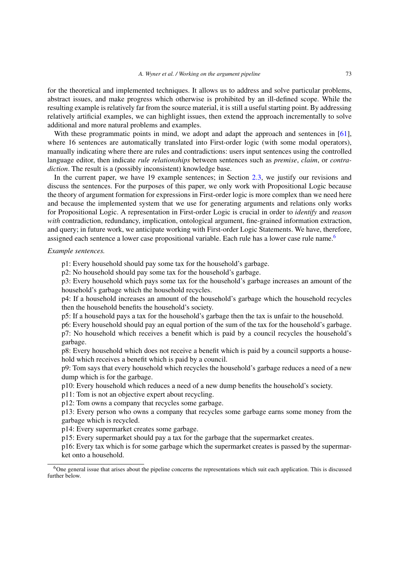for the theoretical and implemented techniques. It allows us to address and solve particular problems, abstract issues, and make progress which otherwise is prohibited by an ill-defined scope. While the resulting example is relatively far from the source material, it is still a useful starting point. By addressing relatively artificial examples, we can highlight issues, then extend the approach incrementally to solve additional and more natural problems and examples.

With these programmatic points in mind, we adopt and adapt the approach and sentences in [\[61](#page-20-0)], where 16 sentences are automatically translated into First-order logic (with some modal operators), manually indicating where there are rules and contradictions: users input sentences using the controlled language editor, then indicate *rule relationships* between sentences such as *premise*, *claim*, or *contradiction*. The result is a (possibly inconsistent) knowledge base.

In the current paper, we have 19 example sentences; in Section [2.3,](#page-6-0) we justify our revisions and discuss the sentences. For the purposes of this paper, we only work with Propositional Logic because the theory of argument formation for expressions in First-order logic is more complex than we need here and because the implemented system that we use for generating arguments and relations only works for Propositional Logic. A representation in First-order Logic is crucial in order to *identify* and *reason* with contradiction, redundancy, implication, ontological argument, fine-grained information extraction, and query; in future work, we anticipate working with First-order Logic Statements. We have, therefore, assigned each sentence a lower case propositional variable. Each rule has a lower case rule name.<sup>6</sup>

#### *Example sentences.*

p1: Every household should pay some tax for the household's garbage.

p2: No household should pay some tax for the household's garbage.

p3: Every household which pays some tax for the household's garbage increases an amount of the household's garbage which the household recycles.

p4: If a household increases an amount of the household's garbage which the household recycles then the household benefits the household's society.

p5: If a household pays a tax for the household's garbage then the tax is unfair to the household.

p6: Every household should pay an equal portion of the sum of the tax for the household's garbage. p7: No household which receives a benefit which is paid by a council recycles the household's garbage.

p8: Every household which does not receive a benefit which is paid by a council supports a household which receives a benefit which is paid by a council.

p9: Tom says that every household which recycles the household's garbage reduces a need of a new dump which is for the garbage.

p10: Every household which reduces a need of a new dump benefits the household's society.

p11: Tom is not an objective expert about recycling.

p12: Tom owns a company that recycles some garbage.

p13: Every person who owns a company that recycles some garbage earns some money from the garbage which is recycled.

p14: Every supermarket creates some garbage.

p15: Every supermarket should pay a tax for the garbage that the supermarket creates.

p16: Every tax which is for some garbage which the supermarket creates is passed by the supermarket onto a household.

<span id="page-4-0"></span><sup>&</sup>lt;sup>6</sup>One general issue that arises about the pipeline concerns the representations which suit each application. This is discussed further below.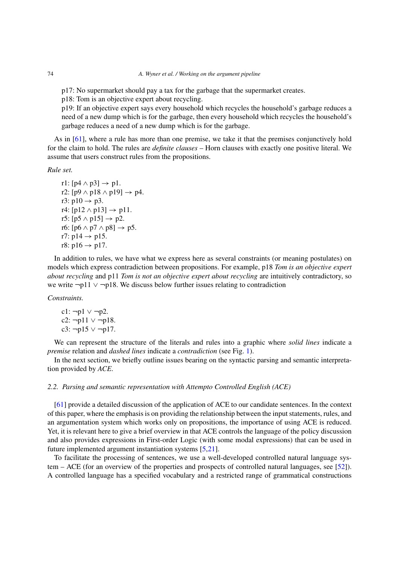p17: No supermarket should pay a tax for the garbage that the supermarket creates.

p18: Tom is an objective expert about recycling.

p19: If an objective expert says every household which recycles the household's garbage reduces a need of a new dump which is for the garbage, then every household which recycles the household's garbage reduces a need of a new dump which is for the garbage.

As in [\[61\]](#page-20-0), where a rule has more than one premise, we take it that the premises conjunctively hold for the claim to hold. The rules are *definite clauses* – Horn clauses with exactly one positive literal. We assume that users construct rules from the propositions.

*Rule set.*

r1:  $[p4 \wedge p3] \rightarrow p1$ . r2: [p9  $\land$  p18  $\land$  p19]  $\rightarrow$  p4. r3:  $p10 \rightarrow p3$ . r4:  $[p12 \wedge p13] \rightarrow p11$ . r5:  $[p5 \land p15] \rightarrow p2$ . r6:  $[p6 \wedge p7 \wedge p8] \rightarrow p5$ . r7:  $p14 \rightarrow p15$ . r8:  $p16 \rightarrow p17$ .

In addition to rules, we have what we express here as several constraints (or meaning postulates) on models which express contradiction between propositions. For example, p18 *Tom is an objective expert about recycling* and p11 *Tom is not an objective expert about recycling* are intuitively contradictory, so we write ¬p11 ∨ ¬p18. We discuss below further issues relating to contradiction

*Constraints.*

c1:  $\neg p1 \vee \neg p2$ . c2: ¬p11 ∨ ¬p18. c3: ¬p15 ∨ ¬p17.

We can represent the structure of the literals and rules into a graphic where *solid lines* indicate a *premise* relation and *dashed lines* indicate a *contradiction* (see Fig. [1\)](#page-6-1).

In the next section, we briefly outline issues bearing on the syntactic parsing and semantic interpretation provided by *ACE*.

## *2.2. Parsing and semantic representation with Attempto Controlled English (ACE)*

[\[61](#page-20-0)] provide a detailed discussion of the application of ACE to our candidate sentences. In the context of this paper, where the emphasis is on providing the relationship between the input statements, rules, and an argumentation system which works only on propositions, the importance of using ACE is reduced. Yet, it is relevant here to give a brief overview in that ACE controls the language of the policy discussion and also provides expressions in First-order Logic (with some modal expressions) that can be used in future implemented argument instantiation systems [\[5](#page-18-8)[,21\]](#page-18-9).

To facilitate the processing of sentences, we use a well-developed controlled natural language system – ACE (for an overview of the properties and prospects of controlled natural languages, see [\[52](#page-19-8)]). A controlled language has a specified vocabulary and a restricted range of grammatical constructions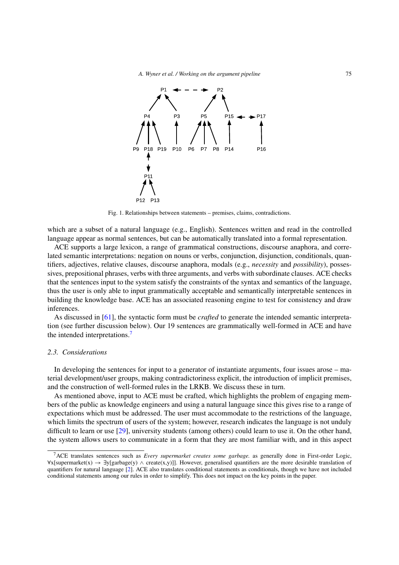

<span id="page-6-1"></span>Fig. 1. Relationships between statements – premises, claims, contradictions.

which are a subset of a natural language (e.g., English). Sentences written and read in the controlled language appear as normal sentences, but can be automatically translated into a formal representation.

ACE supports a large lexicon, a range of grammatical constructions, discourse anaphora, and correlated semantic interpretations: negation on nouns or verbs, conjunction, disjunction, conditionals, quantifiers, adjectives, relative clauses, discourse anaphora, modals (e.g., *necessity* and *possibility*), possessives, prepositional phrases, verbs with three arguments, and verbs with subordinate clauses. ACE checks that the sentences input to the system satisfy the constraints of the syntax and semantics of the language, thus the user is only able to input grammatically acceptable and semantically interpretable sentences in building the knowledge base. ACE has an associated reasoning engine to test for consistency and draw inferences.

As discussed in [\[61\]](#page-20-0), the syntactic form must be *crafted* to generate the intended semantic interpretation (see further discussion below). Our 19 sentences are grammatically well-formed in ACE and have the intended interpretations.<sup>7</sup>

## <span id="page-6-0"></span>*2.3. Considerations*

In developing the sentences for input to a generator of instantiate arguments, four issues arose – material development/user groups, making contradictoriness explicit, the introduction of implicit premises, and the construction of well-formed rules in the LRKB. We discuss these in turn.

As mentioned above, input to ACE must be crafted, which highlights the problem of engaging members of the public as knowledge engineers and using a natural language since this gives rise to a range of expectations which must be addressed. The user must accommodate to the restrictions of the language, which limits the spectrum of users of the system; however, research indicates the language is not unduly difficult to learn or use [\[29\]](#page-19-9), university students (among others) could learn to use it. On the other hand, the system allows users to communicate in a form that they are most familiar with, and in this aspect

<span id="page-6-2"></span><sup>7</sup>ACE translates sentences such as *Every supermarket creates some garbage.* as generally done in First-order Logic,  $\forall x$ [supermarket(x)  $\rightarrow \exists y$ [garbage(y)  $\land$  create(x,y)]]. However, generalised quantifiers are the more desirable translation of quantifiers for natural language [\[2\]](#page-18-10). ACE also translates conditional statements as conditionals, though we have not included conditional statements among our rules in order to simplify. This does not impact on the key points in the paper.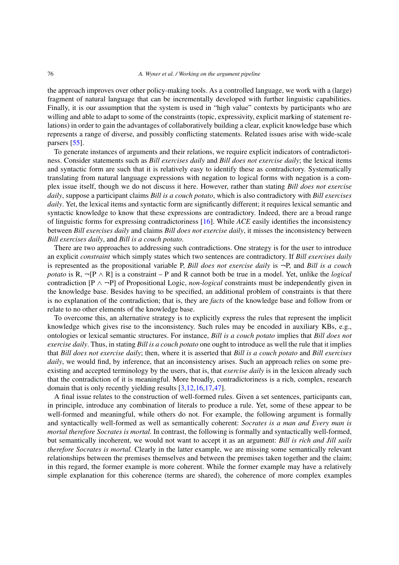#### 76 *A. Wyner et al. / Working on the argument pipeline*

the approach improves over other policy-making tools. As a controlled language, we work with a (large) fragment of natural language that can be incrementally developed with further linguistic capabilities. Finally, it is our assumption that the system is used in "high value" contexts by participants who are willing and able to adapt to some of the constraints (topic, expressivity, explicit marking of statement relations) in order to gain the advantages of collaboratively building a clear, explicit knowledge base which represents a range of diverse, and possibly conflicting statements. Related issues arise with wide-scale parsers [\[55](#page-20-5)].

To generate instances of arguments and their relations, we require explicit indicators of contradictoriness. Consider statements such as *Bill exercises daily* and *Bill does not exercise daily*; the lexical items and syntactic form are such that it is relatively easy to identify these as contradictory. Systematically translating from natural language expressions with negation to logical forms with negation is a complex issue itself, though we do not discuss it here. However, rather than stating *Bill does not exercise daily*, suppose a participant claims *Bill is a couch potato*, which is also contradictory with *Bill exercises daily*. Yet, the lexical items and syntactic form are significantly different; it requires lexical semantic and syntactic knowledge to know that these expressions are contradictory. Indeed, there are a broad range of linguistic forms for expressing contradictoriness [\[16\]](#page-18-11). While *ACE* easily identifies the inconsistency between *Bill exercises daily* and claims *Bill does not exercise daily*, it misses the inconsistency between *Bill exercises daily*, and *Bill is a couch potato*.

There are two approaches to addressing such contradictions. One strategy is for the user to introduce an explicit *constraint* which simply states which two sentences are contradictory. If *Bill exercises daily* is represented as the propositional variable P, *Bill does not exercise daily* is ¬P, and *Bill is a couch potato* is R, ¬[P ∧ R] is a constraint – P and R cannot both be true in a model. Yet, unlike the *logical* contradiction [P ∧ ¬P] of Propositional Logic, *non-logical* constraints must be independently given in the knowledge base. Besides having to be specified, an additional problem of constraints is that there is no explanation of the contradiction; that is, they are *facts* of the knowledge base and follow from or relate to no other elements of the knowledge base.

To overcome this, an alternative strategy is to explicitly express the rules that represent the implicit knowledge which gives rise to the inconsistency. Such rules may be encoded in auxiliary KBs, e.g., ontologies or lexical semantic structures. For instance, *Bill is a couch potato* implies that *Bill does not exercise daily*. Thus, in stating *Bill is a couch potato* one ought to introduce as well the rule that it implies that *Bill does not exercise daily*; then, where it is asserted that *Bill is a couch potato* and *Bill exercises daily*, we would find, by inference, that an inconsistency arises. Such an approach relies on some preexisting and accepted terminology by the users, that is, that *exercise daily* is in the lexicon already such that the contradiction of it is meaningful. More broadly, contradictoriness is a rich, complex, research domain that is only recently yielding results [\[3](#page-18-12)[,12](#page-18-13)[,16](#page-18-11)[,17](#page-18-14)[,47](#page-19-3)].

A final issue relates to the construction of well-formed rules. Given a set sentences, participants can, in principle, introduce any combination of literals to produce a rule. Yet, some of these appear to be well-formed and meaningful, while others do not. For example, the following argument is formally and syntactically well-formed as well as semantically coherent: *Socrates is a man and Every man is mortal therefore Socrates is mortal.* In contrast, the following is formally and syntactically well-formed, but semantically incoherent, we would not want to accept it as an argument: *Bill is rich and Jill sails therefore Socrates is mortal.* Clearly in the latter example, we are missing some semantically relevant relationships between the premises themselves and between the premises taken together and the claim; in this regard, the former example is more coherent. While the former example may have a relatively simple explanation for this coherence (terms are shared), the coherence of more complex examples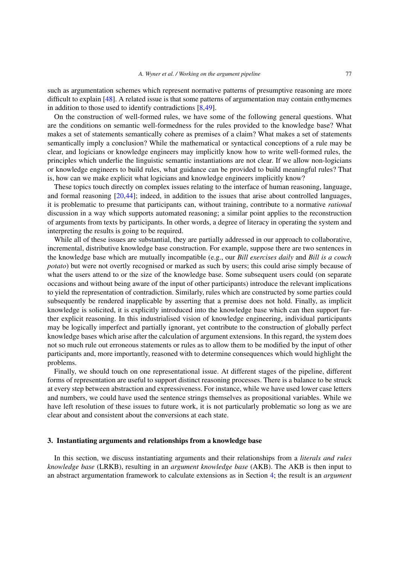such as argumentation schemes which represent normative patterns of presumptive reasoning are more difficult to explain [\[48](#page-19-10)]. A related issue is that some patterns of argumentation may contain enthymemes in addition to those used to identify contradictions [\[8](#page-18-15)[,49\]](#page-19-11).

On the construction of well-formed rules, we have some of the following general questions. What are the conditions on semantic well-formedness for the rules provided to the knowledge base? What makes a set of statements semantically cohere as premises of a claim? What makes a set of statements semantically imply a conclusion? While the mathematical or syntactical conceptions of a rule may be clear, and logicians or knowledge engineers may implicitly know how to write well-formed rules, the principles which underlie the linguistic semantic instantiations are not clear. If we allow non-logicians or knowledge engineers to build rules, what guidance can be provided to build meaningful rules? That is, how can we make explicit what logicians and knowledge engineers implicitly know?

These topics touch directly on complex issues relating to the interface of human reasoning, language, and formal reasoning [\[20](#page-18-16)[,44](#page-19-12)]; indeed, in addition to the issues that arise about controlled languages, it is problematic to presume that participants can, without training, contribute to a normative *rational* discussion in a way which supports automated reasoning; a similar point applies to the reconstruction of arguments from texts by participants. In other words, a degree of literacy in operating the system and interpreting the results is going to be required.

While all of these issues are substantial, they are partially addressed in our approach to collaborative, incremental, distributive knowledge base construction. For example, suppose there are two sentences in the knowledge base which are mutually incompatible (e.g., our *Bill exercises daily* and *Bill is a couch potato*) but were not overtly recognised or marked as such by users; this could arise simply because of what the users attend to or the size of the knowledge base. Some subsequent users could (on separate occasions and without being aware of the input of other participants) introduce the relevant implications to yield the representation of contradiction. Similarly, rules which are constructed by some parties could subsequently be rendered inapplicable by asserting that a premise does not hold. Finally, as implicit knowledge is solicited, it is explicitly introduced into the knowledge base which can then support further explicit reasoning. In this industrialised vision of knowledge engineering, individual participants may be logically imperfect and partially ignorant, yet contribute to the construction of globally perfect knowledge bases which arise after the calculation of argument extensions. In this regard, the system does not so much rule out erroneous statements or rules as to allow them to be modified by the input of other participants and, more importantly, reasoned with to determine consequences which would highlight the problems.

Finally, we should touch on one representational issue. At different stages of the pipeline, different forms of representation are useful to support distinct reasoning processes. There is a balance to be struck at every step between abstraction and expressiveness. For instance, while we have used lower case letters and numbers, we could have used the sentence strings themselves as propositional variables. While we have left resolution of these issues to future work, it is not particularly problematic so long as we are clear about and consistent about the conversions at each state.

## <span id="page-8-0"></span>**3. Instantiating arguments and relationships from a knowledge base**

In this section, we discuss instantiating arguments and their relationships from a *literals and rules knowledge base* (LRKB), resulting in an *argument knowledge base* (AKB). The AKB is then input to an abstract argumentation framework to calculate extensions as in Section [4;](#page-14-0) the result is an *argument*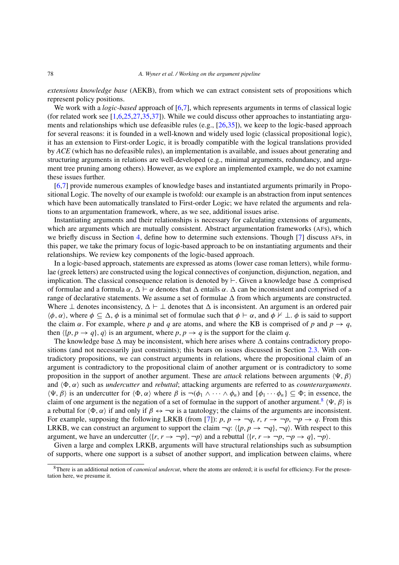*extensions knowledge base* (AEKB), from which we can extract consistent sets of propositions which represent policy positions.

We work with a *logic-based* approach of [\[6](#page-18-1)[,7\]](#page-18-17), which represents arguments in terms of classical logic (for related work see  $[1,6,25,27,35,37]$  $[1,6,25,27,35,37]$  $[1,6,25,27,35,37]$  $[1,6,25,27,35,37]$  $[1,6,25,27,35,37]$  $[1,6,25,27,35,37]$ ). While we could discuss other approaches to instantiating arguments and relationships which use defeasible rules (e.g., [\[26](#page-18-20)[,35](#page-19-13)]), we keep to the logic-based approach for several reasons: it is founded in a well-known and widely used logic (classical propositional logic), it has an extension to First-order Logic, it is broadly compatible with the logical translations provided by *ACE* (which has no defeasible rules), an implementation is available, and issues about generating and structuring arguments in relations are well-developed (e.g., minimal arguments, redundancy, and argument tree pruning among others). However, as we explore an implemented example, we do not examine these issues further.

[\[6](#page-18-1)[,7](#page-18-17)] provide numerous examples of knowledge bases and instantiated arguments primarily in Propositional Logic. The novelty of our example is twofold: our example is an abstraction from input sentences which have been automatically translated to First-order Logic; we have related the arguments and relations to an argumentation framework, where, as we see, additional issues arise.

Instantiating arguments and their relationships is necessary for calculating extensions of arguments, which are arguments which are mutually consistent. Abstract argumentation frameworks (AFs), which we briefly discuss in Section [4,](#page-14-0) define how to determine such extensions. Though [\[7](#page-18-17)] discuss AFs, in this paper, we take the primary focus of logic-based approach to be on instantiating arguments and their relationships. We review key components of the logic-based approach.

In a logic-based approach, statements are expressed as atoms (lower case roman letters), while formulae (greek letters) are constructed using the logical connectives of conjunction, disjunction, negation, and implication. The classical consequence relation is denoted by  $\vdash$ . Given a knowledge base  $\Delta$  comprised of formulae and a formula  $\alpha$ ,  $\Delta \vdash \alpha$  denotes that  $\Delta$  entails  $\alpha$ .  $\Delta$  can be inconsistent and comprised of a range of declarative statements. We assume a set of formulae  $\Delta$  from which arguments are constructed. Where  $\perp$  denotes inconsistency,  $\Delta \vdash \perp$  denotes that  $\Delta$  is inconsistent. An argument is an ordered pair  $\langle \phi, \alpha \rangle$ , where  $\phi \subseteq \Delta$ ,  $\phi$  is a minimal set of formulae such that  $\phi \vdash \alpha$ , and  $\phi \not\vdash \bot$ .  $\phi$  is said to support the claim  $\alpha$ . For example, where *p* and *q* are atoms, and where the KB is comprised of *p* and  $p \rightarrow q$ , then  $\langle \{p, p \rightarrow q\}, q \rangle$  is an argument, where  $p, p \rightarrow q$  is the support for the claim *q*.

The knowledge base  $\Delta$  may be inconsistent, which here arises where  $\Delta$  contains contradictory propositions (and not necessarily just constraints); this bears on issues discussed in Section [2.3.](#page-6-0) With contradictory propositions, we can construct arguments in relations, where the propositional claim of an argument is contradictory to the propositional claim of another argument or is contradictory to some proposition in the support of another argument. These are *attack* relations between arguments *, β* and  $\langle \Phi, \alpha \rangle$  such as *undercutter* and *rebuttal*; attacking arguments are referred to as *counterarguments*.  $\langle \Psi, \beta \rangle$  is an undercutter for  $\langle \Phi, \alpha \rangle$  where  $\beta$  is  $\neg(\phi_1 \wedge \cdots \wedge \phi_n)$  and  $\{\phi_1 \cdots \phi_n\} \subseteq \Phi$ ; in essence, the claim of one argument is the negation of a set of formulae in the support of another argument.<sup>[8](#page-9-0)</sup>  $(\Psi, \beta)$  is a rebuttal for  $\langle \Phi, \alpha \rangle$  if and only if  $\beta \leftrightarrow \neg \alpha$  is a tautology; the claims of the arguments are inconsistent. For example, supposing the following LRKB (from [\[7\]](#page-18-17)):  $p, p \rightarrow \neg q, r, r \rightarrow \neg p, \neg p \rightarrow q$ . From this LRKB, we can construct an argument to support the claim  $\neg q$ :  $\langle \{p, p \rightarrow \neg q\}, \neg q \rangle$ . With respect to this argument, we have an undercutter  $\langle \{r, r \rightarrow \neg p\}, \neg p \rangle$  and a rebuttal  $\langle \{r, r \rightarrow \neg p, \neg p \rightarrow q\}, \neg p \rangle$ .

Given a large and complex LRKB, arguments will have structural relationships such as subsumption of supports, where one support is a subset of another support, and implication between claims, where

<span id="page-9-0"></span><sup>8</sup>There is an additional notion of *canonical undercut*, where the atoms are ordered; it is useful for efficiency. For the presentation here, we presume it.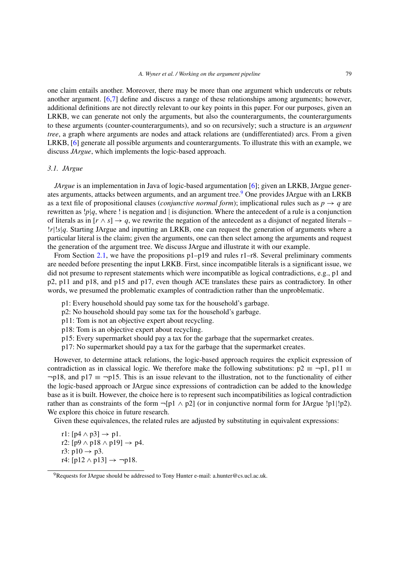one claim entails another. Moreover, there may be more than one argument which undercuts or rebuts another argument. [\[6](#page-18-1)[,7](#page-18-17)] define and discuss a range of these relationships among arguments; however, additional definitions are not directly relevant to our key points in this paper. For our purposes, given an LRKB, we can generate not only the arguments, but also the counterarguments, the counterarguments to these arguments (counter-counterarguments), and so on recursively; such a structure is an *argument tree*, a graph where arguments are nodes and attack relations are (undifferentiated) arcs. From a given LRKB, [\[6](#page-18-1)] generate all possible arguments and counterarguments. To illustrate this with an example, we discuss *JArgue*, which implements the logic-based approach.

## *3.1. JArgue*

*JArgue* is an implementation in Java of logic-based argumentation [\[6](#page-18-1)]; given an LRKB, JArgue generates arguments, attacks between arguments, and an argument tree.<sup>9</sup> One provides JArgue with an LRKB as a text file of propositional clauses (*conjunctive normal form*); implicational rules such as  $p \rightarrow q$  are rewritten as !*p*|*q*, where ! is negation and | is disjunction. Where the antecedent of a rule is a conjunction of literals as in  $[r \wedge s] \rightarrow q$ , we rewrite the negation of the antecedent as a disjunct of negated literals – !*r*|!*s*|*q*. Starting JArgue and inputting an LRKB, one can request the generation of arguments where a particular literal is the claim; given the arguments, one can then select among the arguments and request the generation of the argument tree. We discuss JArgue and illustrate it with our example.

From Section [2.1,](#page-2-1) we have the propositions  $p1-p19$  and rules r1–r8. Several preliminary comments are needed before presenting the input LRKB. First, since incompatible literals is a significant issue, we did not presume to represent statements which were incompatible as logical contradictions, e.g., p1 and p2, p11 and p18, and p15 and p17, even though ACE translates these pairs as contradictory. In other words, we presumed the problematic examples of contradiction rather than the unproblematic.

- p1: Every household should pay some tax for the household's garbage.
- p2: No household should pay some tax for the household's garbage.
- p11: Tom is not an objective expert about recycling.
- p18: Tom is an objective expert about recycling.
- p15: Every supermarket should pay a tax for the garbage that the supermarket creates.
- p17: No supermarket should pay a tax for the garbage that the supermarket creates.

However, to determine attack relations, the logic-based approach requires the explicit expression of contradiction as in classical logic. We therefore make the following substitutions:  $p2 \equiv \neg p1$ ,  $p11 \equiv$  $\neg p18$ , and  $p17 \equiv \neg p15$ . This is an issue relevant to the illustration, not to the functionality of either the logic-based approach or JArgue since expressions of contradiction can be added to the knowledge base as it is built. However, the choice here is to represent such incompatibilities as logical contradiction rather than as constraints of the form  $\neg$ [p1  $\land$  p2] (or in conjunctive normal form for JArgue !p1|!p2). We explore this choice in future research.

Given these equivalences, the related rules are adjusted by substituting in equivalent expressions:

r1:  $[p4 \wedge p3] \rightarrow p1$ . r2: [p9  $\land$  p18  $\land$  p19]  $\rightarrow$  p4. r3:  $p10 \rightarrow p3$ . r4:  $[p12 \wedge p13] \rightarrow \neg p18$ .

<span id="page-10-0"></span><sup>&</sup>lt;sup>9</sup>Requests for JArgue should be addressed to Tony Hunter e-mail: a.hunter@cs.ucl.ac.uk.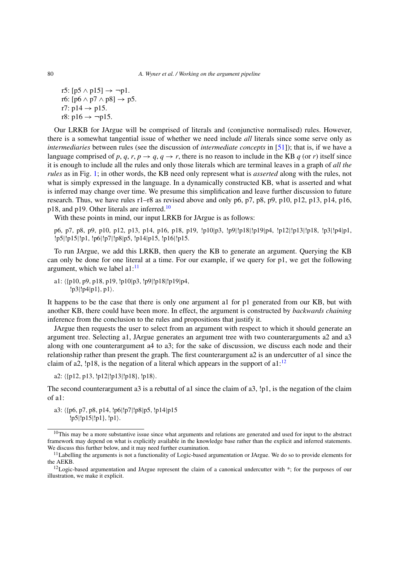r5:  $[p5 \wedge p15] \rightarrow \neg p1$ . r6:  $[p6 \land p7 \land p8] \rightarrow p5$ . r7:  $p14 \rightarrow p15$ . r8:  $p16 \rightarrow \neg p15$ .

Our LRKB for JArgue will be comprised of literals and (conjunctive normalised) rules. However, there is a somewhat tangential issue of whether we need include *all* literals since some serve only as *intermediaries* between rules (see the discussion of *intermediate concepts* in [\[51](#page-19-15)]); that is, if we have a language comprised of p, q, r,  $p \rightarrow q$ ,  $q \rightarrow r$ , there is no reason to include in the KB q (or r) itself since it is enough to include all the rules and only those literals which are terminal leaves in a graph of *all the rules* as in Fig. [1;](#page-6-1) in other words, the KB need only represent what is *asserted* along with the rules, not what is simply expressed in the language. In a dynamically constructed KB, what is asserted and what is inferred may change over time. We presume this simplification and leave further discussion to future research. Thus, we have rules r1–r8 as revised above and only p6, p7, p8, p9, p10, p12, p13, p14, p16, p18, and p19. Other literals are inferred.[10](#page-11-0)

With these points in mind, our input LRKB for JArgue is as follows:

p6, p7, p8, p9, p10, p12, p13, p14, p16, p18, p19, !p10|p3, !p9|!p18|!p19|p4, !p12|!p13|!p18, !p3|!p4|p1, !p5|!p15|!p1, !p6|!p7|!p8|p5, !p14|p15, !p16|!p15.

To run JArgue, we add this LRKB, then query the KB to generate an argument. Querying the KB can only be done for one literal at a time. For our example, if we query for p1, we get the following argument, which we label  $a1$ :<sup>11</sup>

a1: {p10*,* p9*,* p18*,* p19*,* !p10|p3*,* !p9|!p18|!p19|p4*,* !p3|!p4|p1}*,* p1.

It happens to be the case that there is only one argument a1 for p1 generated from our KB, but with another KB, there could have been more. In effect, the argument is constructed by *backwards chaining* inference from the conclusion to the rules and propositions that justify it.

JArgue then requests the user to select from an argument with respect to which it should generate an argument tree. Selecting a1, JArgue generates an argument tree with two counterarguments a2 and a3 along with one counterargument a4 to a3; for the sake of discussion, we discuss each node and their relationship rather than present the graph. The first counterargument a2 is an undercutter of a1 since the claim of a2, !p18, is the negation of a literal which appears in the support of  $a1$ :<sup>[12](#page-11-2)</sup>

a2: {p12*,* p13*,* !p12|!p13|!p18}*,* !p18.

The second counterargument a3 is a rebuttal of a1 since the claim of a3, !p1, is the negation of the claim of a1:

a3: {p6*,* p7*,* p8*,* p14*,* !p6|!p7|!p8|p5*,* !p14|p15 !p5|!p15|!p1}*,* !p1.

<span id="page-11-0"></span><sup>&</sup>lt;sup>10</sup>This may be a more substantive issue since what arguments and relations are generated and used for input to the abstract framework may depend on what is explicitly available in the knowledge base rather than the explicit and inferred statements. We discuss this further below, and it may need further examination.

<span id="page-11-1"></span><sup>&</sup>lt;sup>11</sup>Labelling the arguments is not a functionality of Logic-based argumentation or JArgue. We do so to provide elements for the AEKB.

<span id="page-11-2"></span><sup>&</sup>lt;sup>12</sup>Logic-based argumentation and JArgue represent the claim of a canonical undercutter with \*; for the purposes of our illustration, we make it explicit.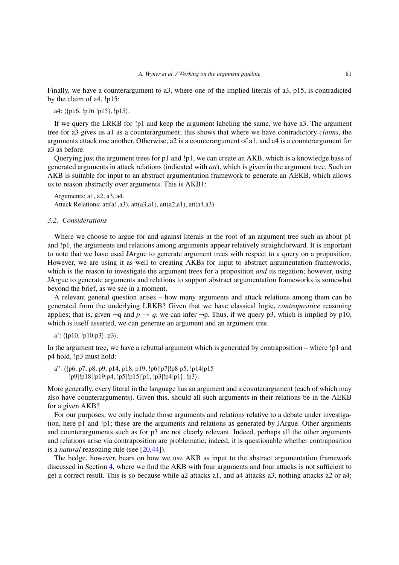Finally, we have a counterargument to a3, where one of the implied literals of a3, p15, is contradicted by the claim of a4, !p15:

a4:  $\langle \{\text{p16}, \text{!p16} | \text{!p15}\}, \text{!p15}\rangle$ .

If we query the LRKB for !p1 and keep the argument labeling the same, we have a3. The argument tree for a3 gives us a1 as a counterargument; this shows that where we have contradictory *claims*, the arguments attack one another. Otherwise, a2 is a counterargument of a1, and a4 is a counterargument for a3 as before.

Querying just the argument trees for p1 and !p1, we can create an AKB, which is a knowledge base of generated arguments in attack relations (indicated with *att*), which is given in the argument tree. Such an AKB is suitable for input to an abstract argumentation framework to generate an AEKB, which allows us to reason abstractly over arguments. This is AKB1:

Arguments: a1, a2, a3, a4. Attack Relations:  $att(a1, a3)$ ,  $att(a3, a1)$ ,  $att(a2, a1)$ ,  $att(a4, a3)$ .

#### *3.2. Considerations*

Where we choose to argue for and against literals at the root of an argument tree such as about p1 and !p1, the arguments and relations among arguments appear relatively straightforward. It is important to note that we have used JArgue to generate argument trees with respect to a query on a proposition. However, we are using it as well to creating AKBs for input to abstract argumentation frameworks, which is the reason to investigate the argument trees for a proposition *and* its negation; however, using JArgue to generate arguments and relations to support abstract argumentation frameworks is somewhat beyond the brief, as we see in a moment.

A relevant general question arises – how many arguments and attack relations among them can be generated from the underlying LRKB? Given that we have classical logic, *contrapositive* reasoning applies; that is, given  $\neg q$  and  $p \to q$ , we can infer  $\neg p$ . Thus, if we query p3, which is implied by p10, which is itself asserted, we can generate an argument and an argument tree.

a': 
$$
\langle p10, !p10|p3 \rangle, p3 \rangle
$$
.

In the argument tree, we have a rebuttal argument which is generated by contraposition – where !p1 and p4 hold, !p3 must hold:

a": {p6*,* p7*,* p8*,* p9*,* p14*,* p18*,* p19*,* !p6|!p7|!p8|p5*,* !p14|p15 !p9|!p18|!p19|p4*,* !p5|!p15|!p1*,* !p3|!p4|p1}*,* !p3.

More generally, every literal in the language has an argument and a counterargument (each of which may also have counterarguments). Given this, should all such arguments in their relations be in the AEKB for a given AKB?

For our purposes, we only include those arguments and relations relative to a debate under investigation, here p1 and !p1; these are the arguments and relations as generated by JArgue. Other arguments and counterarguments such as for p3 are not clearly relevant. Indeed, perhaps all the other arguments and relations arise via contraposition are problematic; indeed, it is questionable whether contraposition is a *natural* reasoning rule (see [\[20](#page-18-16)[,44](#page-19-12)]).

The hedge, however, bears on how we use AKB as input to the abstract argumentation framework discussed in Section [4,](#page-14-0) where we find the AKB with four arguments and four attacks is not sufficient to get a correct result. This is so because while a2 attacks a1, and a4 attacks a3, nothing attacks a2 or a4;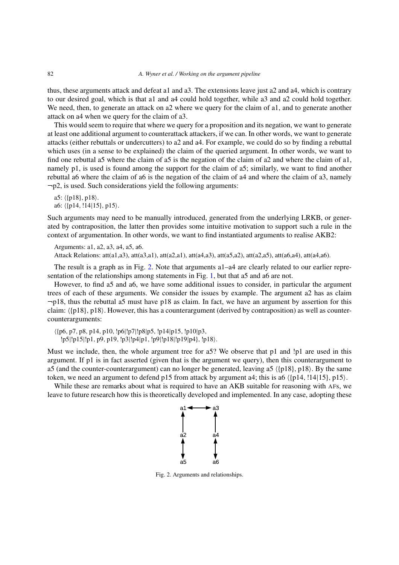thus, these arguments attack and defeat a1 and a3. The extensions leave just a2 and a4, which is contrary to our desired goal, which is that a1 and a4 could hold together, while a3 and a2 could hold together. We need, then, to generate an attack on a2 where we query for the claim of a1, and to generate another attack on a4 when we query for the claim of a3.

This would seem to require that where we query for a proposition and its negation, we want to generate at least one additional argument to counterattack attackers, if we can. In other words, we want to generate attacks (either rebuttals or undercutters) to a2 and a4. For example, we could do so by finding a rebuttal which uses (in a sense to be explained) the claim of the queried argument. In other words, we want to find one rebuttal a5 where the claim of a5 is the negation of the claim of a2 and where the claim of a1, namely p1, is used is found among the support for the claim of a5; similarly, we want to find another rebuttal a6 where the claim of a6 is the negation of the claim of a4 and where the claim of a3, namely  $\neg p2$ , is used. Such considerations yield the following arguments:

a5:  $\langle \{\text{p18}\}, \text{p18}\rangle$ . a6: {p14*,* !14|15}*,* p15.

Such arguments may need to be manually introduced, generated from the underlying LRKB, or generated by contraposition, the latter then provides some intuitive motivation to support such a rule in the context of argumentation. In other words, we want to find instantiated arguments to realise AKB2:

Arguments: a1, a2, a3, a4, a5, a6. Attack Relations: att(a1,a3), att(a3,a1), att(a2,a1), att(a4,a3), att(a5,a2), att(a2,a5), att(a6,a4), att(a4,a6).

The result is a graph as in Fig. [2.](#page-13-0) Note that arguments a1–a4 are clearly related to our earlier representation of the relationships among statements in Fig. [1,](#page-6-1) but that a5 and a6 are not.

However, to find a5 and a6, we have some additional issues to consider, in particular the argument trees of each of these arguments. We consider the issues by example. The argument a2 has as claim ¬p18, thus the rebuttal a5 must have p18 as claim. In fact, we have an argument by assertion for this claim:  $\langle \{p18\}, p18\rangle$ . However, this has a counterargument (derived by contraposition) as well as countercounterarguments:

 {p6*,* p7*,* p8*,* p14*,* p10*,* !p6|!p7|!p8|p5*,* !p14|p15*,* !p10|p3*,* !p5|!p15|!p1*,* p9*,* p19*,* !p3|!p4|p1*,* !p9|!p18|!p19|p4}*,* !p18.

Must we include, then, the whole argument tree for a5? We observe that p1 and !p1 are used in this argument. If p1 is in fact asserted (given that is the argument we query), then this counterargument to a5 (and the counter-counterargument) can no longer be generated, leaving a5  $\langle p18 \rangle$ , p18 $\rangle$ . By the same token, we need an argument to defend p15 from attack by argument a4; this is a6  $\langle p14, 114|15, p15 \rangle$ .

While these are remarks about what is required to have an AKB suitable for reasoning with AFs, we leave to future research how this is theoretically developed and implemented. In any case, adopting these



<span id="page-13-0"></span>Fig. 2. Arguments and relationships.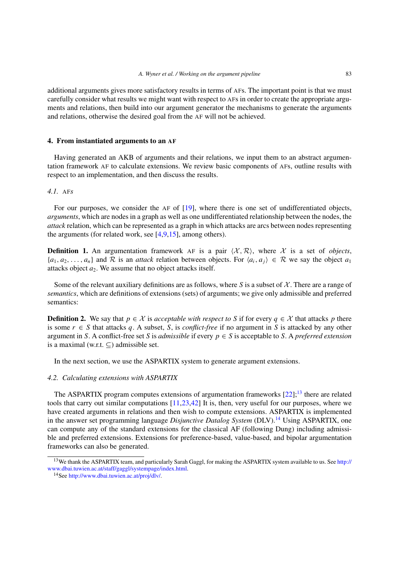additional arguments gives more satisfactory results in terms of AFs. The important point is that we must carefully consider what results we might want with respect to AFs in order to create the appropriate arguments and relations, then build into our argument generator the mechanisms to generate the arguments and relations, otherwise the desired goal from the AF will not be achieved.

#### <span id="page-14-0"></span>**4. From instantiated arguments to an AF**

Having generated an AKB of arguments and their relations, we input them to an abstract argumentation framework AF to calculate extensions. We review basic components of AFs, outline results with respect to an implementation, and then discuss the results.

## *4.1.* AF*s*

For our purposes, we consider the AF of [\[19](#page-18-3)], where there is one set of undifferentiated objects, *arguments*, which are nodes in a graph as well as one undifferentiated relationship between the nodes, the *attack* relation, which can be represented as a graph in which attacks are arcs between nodes representing the arguments (for related work, see  $[4,9,15]$  $[4,9,15]$  $[4,9,15]$ , among others).

**Definition 1.** An argumentation framework AF is a pair  $\langle X, \mathcal{R} \rangle$ , where X is a set of *objects*,  $\{a_1, a_2, \ldots, a_n\}$  and  $\mathcal R$  is an *attack* relation between objects. For  $\langle a_i, a_j \rangle \in \mathcal R$  we say the object  $a_1$ attacks object  $a_2$ . We assume that no object attacks itself.

Some of the relevant auxiliary definitions are as follows, where *S* is a subset of  $\chi$ . There are a range of *semantics*, which are definitions of extensions (sets) of arguments; we give only admissible and preferred semantics:

**Definition 2.** We say that  $p \in \mathcal{X}$  is *acceptable with respect to S* if for every  $q \in \mathcal{X}$  that attacks *p* there is some  $r \in S$  that attacks q, A subset, S, is *conflict-free* if no argument in S is attacked by any other argument in *S*. A conflict-free set *S* is *admissible* if every  $p \in S$  is acceptable to *S*. A *preferred extension* is a maximal (w.r.t.  $\subseteq$ ) admissible set.

In the next section, we use the ASPARTIX system to generate argument extensions.

## *4.2. Calculating extensions with ASPARTIX*

The ASPARTIX program computes extensions of argumentation frameworks  $[22]$  $[22]$ ;<sup>13</sup> there are related tools that carry out similar computations [\[11](#page-18-24)[,23](#page-18-25)[,42\]](#page-19-16) It is, then, very useful for our purposes, where we have created arguments in relations and then wish to compute extensions. ASPARTIX is implemented in the answer set programming language *Disjunctive Datalog System* (DLV)[.14](#page-14-2) Using ASPARTIX, one can compute any of the standard extensions for the classical AF (following Dung) including admissible and preferred extensions. Extensions for preference-based, value-based, and bipolar argumentation frameworks can also be generated.

<span id="page-14-1"></span><sup>&</sup>lt;sup>13</sup>We thank the ASPARTIX team, and particularly Sarah Gaggl, for making the ASPARTIX system available to us. See [http://](http://www.dbai.tuwien.ac.at/staff/gaggl/systempage/index.html) [www.dbai.tuwien.ac.at/staff/gaggl/systempage/index.html.](http://www.dbai.tuwien.ac.at/staff/gaggl/systempage/index.html)

<span id="page-14-2"></span><sup>14</sup>See [http://www.dbai.tuwien.ac.at/proj/dlv/.](http://www.dbai.tuwien.ac.at/proj/dlv/)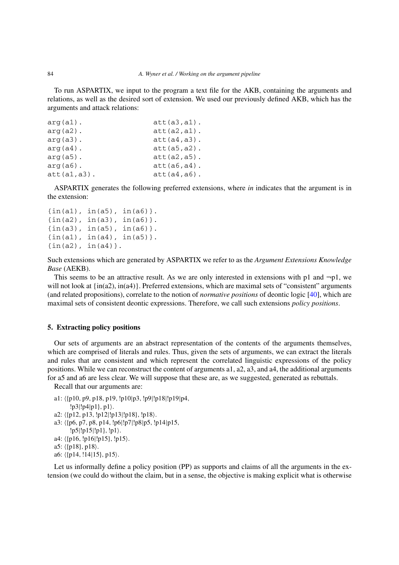To run ASPARTIX, we input to the program a text file for the AKB, containing the arguments and relations, as well as the desired sort of extension. We used our previously defined AKB, which has the arguments and attack relations:

```
arg(a1). <br>att(a3,a1).
arg(a2). att(a2, a1).
arg(a3). <br>att(a4,a3).
arg(a4). att(a5, a2).
arg(a5). <br>att(a2,a5).
arg(a6). <br>att(a6,a4).
att(a1,a3). att(a4,a6).
```
ASPARTIX generates the following preferred extensions, where *in* indicates that the argument is in the extension:

```
\{in(a1), in(a5), in(a6)\}.\{in(a2), in(a3), in(a6)\}.{in(a3), in(a5), in(a6)}.
\{in(a1), in(a4), in(a5)\}.\{in(a2), in(a4)\}\.
```
Such extensions which are generated by ASPARTIX we refer to as the *Argument Extensions Knowledge Base* (AEKB).

This seems to be an attractive result. As we are only interested in extensions with p1 and  $\neg p1$ , we will not look at  $\{in(a2), in(a4)\}$ . Preferred extensions, which are maximal sets of "consistent" arguments (and related propositions), correlate to the notion of *normative positions* of deontic logic [\[40\]](#page-19-1), which are maximal sets of consistent deontic expressions. Therefore, we call such extensions *policy positions*.

## <span id="page-15-0"></span>**5. Extracting policy positions**

Our sets of arguments are an abstract representation of the contents of the arguments themselves, which are comprised of literals and rules. Thus, given the sets of arguments, we can extract the literals and rules that are consistent and which represent the correlated linguistic expressions of the policy positions. While we can reconstruct the content of arguments a1, a2, a3, and a4, the additional arguments for a5 and a6 are less clear. We will suppose that these are, as we suggested, generated as rebuttals.

Recall that our arguments are:

- a1: {p10*,* p9*,* p18*,* p19*,* !p10|p3*,* !p9|!p18|!p19|p4*,*
- !p3|!p4|p1}*,* p1.
- a2: {p12*,* p13*,* !p12|!p13|!p18}*,* !p18.
- a3: {p6*,* p7*,* p8*,* p14*,* !p6|!p7|!p8|p5*,* !p14|p15*,*
- !p5|!p15|!p1}*,* !p1.
- a4:  $\langle \{p16, \, !p16 | !p15\}, \, !p15 \rangle$ .
- a5:  $\langle \{\text{p18}\}, \text{p18}\rangle$ .
- a6: {p14*,* !14|15}*,* p15.

Let us informally define a policy position (PP) as supports and claims of all the arguments in the extension (we could do without the claim, but in a sense, the objective is making explicit what is otherwise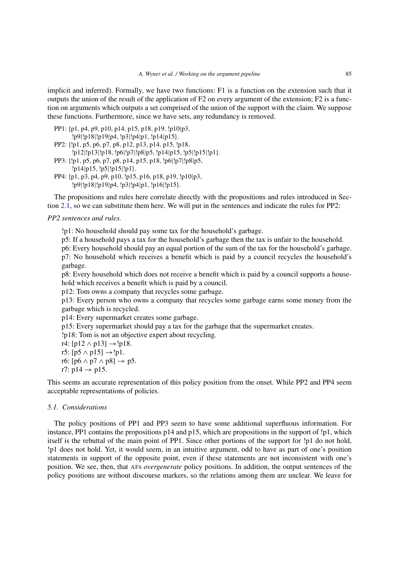implicit and inferred). Formally, we have two functions: F1 is a function on the extension such that it outputs the union of the result of the application of F2 on every argument of the extension; F2 is a function on arguments which outputs a set comprised of the union of the support with the claim. We suppose these functions. Furthermore, since we have sets, any redundancy is removed.

```
PP1: {p1, p4, p9, p10, p14, p15, p18, p19, !p10|p3,
       !p9|!p18|!p19|p4, !p3|!p4|p1, !p14|p15}.
PP2: {!p1, p5, p6, p7, p8, p12, p13, p14, p15, !p18,
       !p12|!p13|!p18, !p6|!p7|!p8|p5, !p14|p15, !p5|!p15|!p1}.
PP3: {!p1, p5, p6, p7, p8, p14, p15, p18, !p6|!p7|!p8|p5,
       !p14|p15, !p5|!p15|!p1}.
PP4: {p1, p3, p4, p9, p10, !p15, p16, p18, p19, !p10|p3,
       !p9|!p18|!p19|p4, !p3|!p4|p1, !p16|!p15}.
```
The propositions and rules here correlate directly with the propositions and rules introduced in Section [2.1,](#page-2-1) so we can substitute them here. We will put in the sentences and indicate the rules for PP2:

*PP2 sentences and rules.*

!p1: No household should pay some tax for the household's garbage.

p5: If a household pays a tax for the household's garbage then the tax is unfair to the household.

p6: Every household should pay an equal portion of the sum of the tax for the household's garbage. p7: No household which receives a benefit which is paid by a council recycles the household's garbage.

p8: Every household which does not receive a benefit which is paid by a council supports a household which receives a benefit which is paid by a council.

p12: Tom owns a company that recycles some garbage.

p13: Every person who owns a company that recycles some garbage earns some money from the garbage which is recycled.

p14: Every supermarket creates some garbage.

p15: Every supermarket should pay a tax for the garbage that the supermarket creates.

!p18: Tom is not an objective expert about recycling.

r4: [p12  $\land$  p13]  $\rightarrow$ !p18.

- r5:  $[p5 \wedge p15] \rightarrow [p1]$ .
- r6:  $[p6 \wedge p7 \wedge p8] \rightarrow p5$ .

r7:  $p14 \rightarrow p15$ .

This seems an accurate representation of this policy position from the onset. While PP2 and PP4 seem acceptable representations of policies.

## *5.1. Considerations*

The policy positions of PP1 and PP3 seem to have some additional superfluous information. For instance, PP1 contains the propositions p14 and p15, which are propositions in the support of !p1, which itself is the rebuttal of the main point of PP1. Since other portions of the support for !p1 do not hold, !p1 does not hold. Yet, it would seem, in an intuitive argument, odd to have as part of one's position statements in support of the opposite point, even if these statements are not inconsistent with one's position. We see, then, that AFs *overgenerate* policy positions. In addition, the output sentences of the policy positions are without discourse markers, so the relations among them are unclear. We leave for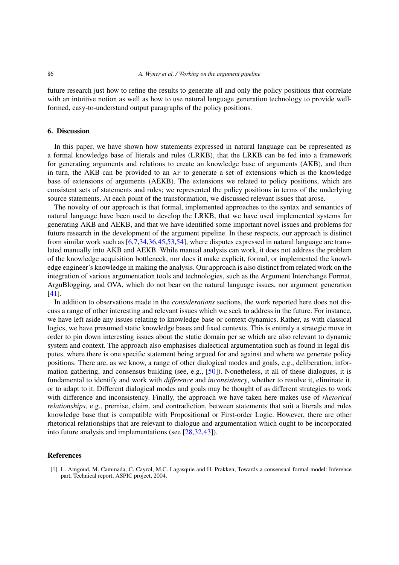future research just how to refine the results to generate all and only the policy positions that correlate with an intuitive notion as well as how to use natural language generation technology to provide wellformed, easy-to-understand output paragraphs of the policy positions.

## **6. Discussion**

In this paper, we have shown how statements expressed in natural language can be represented as a formal knowledge base of literals and rules (LRKB), that the LRKB can be fed into a framework for generating arguments and relations to create an knowledge base of arguments (AKB), and then in turn, the AKB can be provided to an AF to generate a set of extensions which is the knowledge base of extensions of arguments (AEKB). The extensions we related to policy positions, which are consistent sets of statements and rules; we represented the policy positions in terms of the underlying source statements. At each point of the transformation, we discussed relevant issues that arose.

The novelty of our approach is that formal, implemented approaches to the syntax and semantics of natural language have been used to develop the LRKB, that we have used implemented systems for generating AKB and AEKB, and that we have identified some important novel issues and problems for future research in the development of the argument pipeline. In these respects, our approach is distinct from similar work such as [\[6](#page-18-1)[,7](#page-18-17)[,34](#page-19-17)[,36](#page-19-18)[,45](#page-19-19)[,53](#page-20-7)[,54](#page-20-8)], where disputes expressed in natural language are translated manually into AKB and AEKB. While manual analysis can work, it does not address the problem of the knowledge acquisition bottleneck, nor does it make explicit, formal, or implemented the knowledge engineer's knowledge in making the analysis. Our approach is also distinct from related work on the integration of various argumentation tools and technologies, such as the Argument Interchange Format, ArguBlogging, and OVA, which do not bear on the natural language issues, nor argument generation [\[41](#page-19-20)].

In addition to observations made in the *considerations* sections, the work reported here does not discuss a range of other interesting and relevant issues which we seek to address in the future. For instance, we have left aside any issues relating to knowledge base or context dynamics. Rather, as with classical logics, we have presumed static knowledge bases and fixed contexts. This is entirely a strategic move in order to pin down interesting issues about the static domain per se which are also relevant to dynamic system and context. The approach also emphasises dialectical argumentation such as found in legal disputes, where there is one specific statement being argued for and against and where we generate policy positions. There are, as we know, a range of other dialogical modes and goals, e.g., deliberation, information gathering, and consensus building (see, e.g., [\[50](#page-19-21)]). Nonetheless, it all of these dialogues, it is fundamental to identify and work with *difference* and *inconsistency*, whether to resolve it, eliminate it, or to adapt to it. Different dialogical modes and goals may be thought of as different strategies to work with difference and inconsistency. Finally, the approach we have taken here makes use of *rhetorical relationships*, e.g., premise, claim, and contradiction, between statements that suit a literals and rules knowledge base that is compatible with Propositional or First-order Logic. However, there are other rhetorical relationships that are relevant to dialogue and argumentation which ought to be incorporated into future analysis and implementations (see [\[28](#page-19-22)[,32](#page-19-23)[,43\]](#page-19-24)).

#### **References**

<span id="page-17-0"></span>[1] L. Amgoud, M. Caminada, C. Cayrol, M.C. Lagasquie and H. Prakken, Towards a consensual formal model: Inference part, Technical report, ASPIC project, 2004.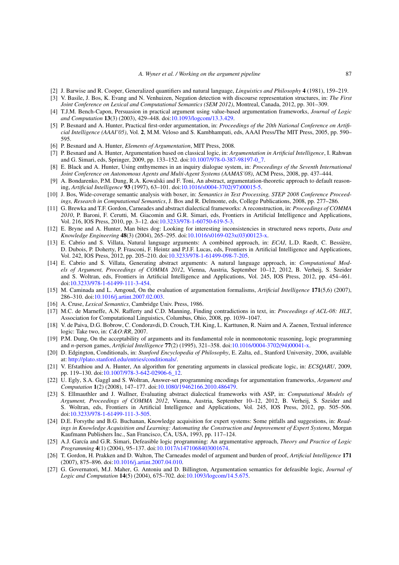- <span id="page-18-10"></span>[2] J. Barwise and R. Cooper, Generalized quantifiers and natural language, *Linguistics and Philosophy* **4** (1981), 159–219.
- <span id="page-18-12"></span>[3] V. Basile, J. Bos, K. Evang and N. Venhuizen, Negation detection with discourse representation structures, in: *The First Joint Conference on Lexical and Computational Semantics (SEM 2012)*, Montreal, Canada, 2012, pp. 301–309.
- <span id="page-18-21"></span>[4] T.J.M. Bench-Capon, Persuasion in practical argument using value-based argumentation frameworks, *Journal of Logic and Computation* **13**(3) (2003), 429–448. doi[:10.1093/logcom/13.3.429.](http://dx.doi.org/10.1093/logcom/13.3.429)
- <span id="page-18-8"></span>[5] P. Besnard and A. Hunter, Practical first-order argumentation, in: *Proceedings of the 20th National Conference on Artificial Intelligence (AAAI'05)*, Vol. **2**, M.M. Veloso and S. Kambhampati, eds, AAAI Press/The MIT Press, 2005, pp. 590– 595.
- <span id="page-18-1"></span>[6] P. Besnard and A. Hunter, *Elements of Argumentation*, MIT Press, 2008.
- <span id="page-18-17"></span>[7] P. Besnard and A. Hunter, Argumentation based on classical logic, in: *Argumentation in Artificial Intelligence*, I. Rahwan and G. Simari, eds, Springer, 2009, pp. 133–152. doi[:10.1007/978-0-387-98197-0\\_7.](http://dx.doi.org/10.1007/978-0-387-98197-0_7)
- <span id="page-18-15"></span>[8] E. Black and A. Hunter, Using enthymemes in an inquiry dialogue system, in: *Proceedings of the Seventh International Joint Conference on Autonomous Agents and Multi-Agent Systems (AAMAS'08)*, ACM Press, 2008, pp. 437–444.
- <span id="page-18-22"></span>[9] A. Bondarenko, P.M. Dung, R.A. Kowalski and F. Toni, An abstract, argumentation-theoretic approach to default reasoning, *Artificial Intelligence* **93** (1997), 63–101. doi[:10.1016/s0004-3702\(97\)00015-5.](http://dx.doi.org/10.1016/s0004-3702(97)00015-5)
- <span id="page-18-4"></span>[10] J. Bos, Wide-coverage semantic analysis with boxer, in: *Semantics in Text Processing, STEP 2008 Conference Proceedings, Research in Computational Semantics*, J. Bos and R. Delmonte, eds, College Publications, 2008, pp. 277–286.
- <span id="page-18-24"></span>[11] G. Brewka and T.F. Gordon, Carneades and abstract dialectical frameworks: A reconstruction, in: *Proceedings of COMMA 2010*, P. Baroni, F. Cerutti, M. Giacomin and G.R. Simari, eds, Frontiers in Artificial Intelligence and Applications, Vol. 216, IOS Press, 2010, pp. 3–12. doi[:10.3233/978-1-60750-619-5-3.](http://dx.doi.org/10.3233/978-1-60750-619-5-3)
- <span id="page-18-13"></span>[12] E. Bryne and A. Hunter, Man bites dog: Looking for interesting inconsistencies in structured news reports, *Data and Knowledge Engineering* **48**(3) (2004), 265–295. doi[:10.1016/s0169-023x\(03\)00123-x.](http://dx.doi.org/10.1016/s0169-023x(03)00123-x)
- <span id="page-18-6"></span>[13] E. Cabrio and S. Villata, Natural language arguments: A combined approach, in: *ECAI*, L.D. Raedt, C. Bessière, D. Dubois, P. Doherty, P. Frasconi, F. Heintz and P.J.F. Lucas, eds, Frontiers in Artificial Intelligence and Applications, Vol. 242, IOS Press, 2012, pp. 205–210. doi[:10.3233/978-1-61499-098-7-205.](http://dx.doi.org/10.3233/978-1-61499-098-7-205)
- <span id="page-18-7"></span>[14] E. Cabrio and S. Villata, Generating abstract arguments: A natural language approach, in: *Computational Models of Argument, Proceedings of COMMA 2012*, Vienna, Austria, September 10–12, 2012, B. Verheij, S. Szeider and S. Woltran, eds, Frontiers in Artificial Intelligence and Applications, Vol. 245, IOS Press, 2012, pp. 454–461. doi[:10.3233/978-1-61499-111-3-454.](http://dx.doi.org/10.3233/978-1-61499-111-3-454)
- <span id="page-18-23"></span>[15] M. Caminada and L. Amgoud, On the evaluation of argumentation formalisms, *Artificial Intelligence* **171**(5,6) (2007), 286–310. doi[:10.1016/j.artint.2007.02.003.](http://dx.doi.org/10.1016/j.artint.2007.02.003)
- <span id="page-18-11"></span>[16] A. Cruse, *Lexical Semantics*, Cambridge Univ. Press, 1986.
- <span id="page-18-14"></span>[17] M.C. de Marneffe, A.N. Rafferty and C.D. Manning, Finding contradictions in text, in: *Proceedings of ACL-08: HLT*, Association for Computational Linguistics, Columbus, Ohio, 2008, pp. 1039–1047.
- <span id="page-18-5"></span>[18] V. de Paiva, D.G. Bobrow, C. Condoravdi, D. Crouch, T.H. King, L. Karttunen, R. Nairn and A. Zaenen, Textual inference logic: Take two, in: *C&O:RR*, 2007.
- <span id="page-18-3"></span>[19] P.M. Dung, On the acceptability of arguments and its fundamental role in nonmonotonic reasoning, logic programming and *n*-person games, *Artificial Intelligence* **77**(2) (1995), 321–358. doi[:10.1016/0004-3702\(94\)00041-x.](http://dx.doi.org/10.1016/0004-3702(94)00041-x)
- <span id="page-18-16"></span>[20] D. Edgington, Conditionals, in: *Stanford Encyclopedia of Philosophy*, E. Zalta, ed., Stanford University, 2006, available at: [http://plato.stanford.edu/entries/conditionals/.](http://plato.stanford.edu/entries/conditionals/)
- <span id="page-18-9"></span>[21] V. Efstathiou and A. Hunter, An algorithm for generating arguments in classical predicate logic, in: *ECSQARU*, 2009, pp. 119–130. doi[:10.1007/978-3-642-02906-6\\_12.](http://dx.doi.org/10.1007/978-3-642-02906-6_12)
- <span id="page-18-2"></span>[22] U. Egly, S.A. Gaggl and S. Woltran, Answer-set programming encodings for argumentation frameworks, *Argument and Computation* **1**(2) (2008), 147–177. doi[:10.1080/19462166.2010.486479.](http://dx.doi.org/10.1080/19462166.2010.486479)
- <span id="page-18-25"></span>[23] S. Ellmauthler and J. Wallner, Evaluating abstract dialectical frameworks with ASP, in: *Computational Models of Argument, Proceedings of COMMA 2012*, Vienna, Austria, September 10–12, 2012, B. Verheij, S. Szeider and S. Woltran, eds, Frontiers in Artificial Intelligence and Applications, Vol. 245, IOS Press, 2012, pp. 505–506. doi[:10.3233/978-1-61499-111-3-505.](http://dx.doi.org/10.3233/978-1-61499-111-3-505)
- <span id="page-18-0"></span>[24] D.E. Forsythe and B.G. Buchanan, Knowledge acquisition for expert systems: Some pitfalls and suggestions, in: *Readings in Knowledge Acquisition and Learning: Automating the Construction and Improvement of Expert Systems*, Morgan Kaufmann Publishers Inc., San Francisco, CA, USA, 1993, pp. 117–124.
- <span id="page-18-18"></span>[25] A.J. García and G.R. Simari, Defeasible logic programming: An argumentative approach, *Theory and Practice of Logic Programming* **4**(1) (2004), 95–137. doi[:10.1017/s1471068403001674.](http://dx.doi.org/10.1017/s1471068403001674)
- <span id="page-18-20"></span>[26] T. Gordon, H. Prakken and D. Walton, The Carneades model of argument and burden of proof, *Artificial Intelligence* **171** (2007), 875–896. doi[:10.1016/j.artint.2007.04.010.](http://dx.doi.org/10.1016/j.artint.2007.04.010)
- <span id="page-18-19"></span>[27] G. Governatori, M.J. Maher, G. Antoniu and D. Billington, Argumentation semantics for defeasible logic, *Journal of Logic and Computation* **14**(5) (2004), 675–702. doi[:10.1093/logcom/14.5.675.](http://dx.doi.org/10.1093/logcom/14.5.675)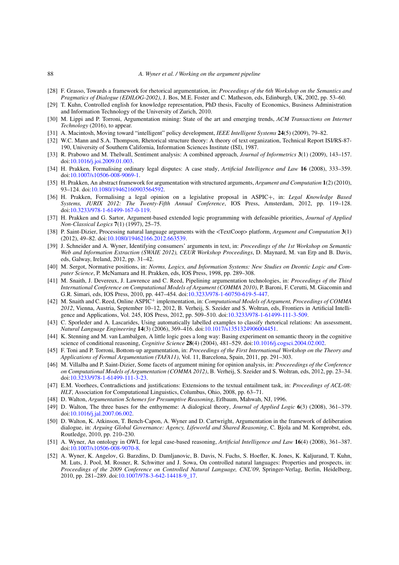#### 88 *A. Wyner et al. / Working on the argument pipeline*

- <span id="page-19-22"></span>[28] F. Grasso, Towards a framework for rhetorical argumentation, in: *Proceedings of the 6th Workshop on the Semantics and Pragmatics of Dialogue (EDILOG-2002)*, J. Bos, M.E. Foster and C. Matheson, eds, Edinburgh, UK, 2002, pp. 53–60.
- <span id="page-19-9"></span>[29] T. Kuhn, Controlled english for knowledge representation, PhD thesis, Faculty of Economics, Business Administration and Information Technology of the University of Zurich, 2010.
- <span id="page-19-7"></span>[30] M. Lippi and P. Torroni, Argumentation mining: State of the art and emerging trends, *ACM Transactions on Internet Technology* (2016), to appear.
- <span id="page-19-0"></span>[31] A. Macintosh, Moving toward "intelligent" policy development, *IEEE Intelligent Systems* **24**(5) (2009), 79–82.
- <span id="page-19-23"></span>[32] W.C. Mann and S.A. Thompson, Rhetorical structure theory: A theory of text organization, Technical Report ISI/RS-87- 190, University of Southern California, Information Sciences Institute (ISI), 1987.
- <span id="page-19-2"></span>[33] R. Prabowo and M. Thelwall, Sentiment analysis: A combined approach, *Journal of Informetrics* **3**(1) (2009), 143–157. doi[:10.1016/j.joi.2009.01.003.](http://dx.doi.org/10.1016/j.joi.2009.01.003)
- <span id="page-19-17"></span>[34] H. Prakken, Formalising ordinary legal disputes: A case study, *Artificial Intelligence and Law* **16** (2008), 333–359. doi[:10.1007/s10506-008-9069-1.](http://dx.doi.org/10.1007/s10506-008-9069-1)
- <span id="page-19-13"></span>[35] H. Prakken, An abstract framework for argumentation with structured arguments, *Argument and Computation* **1**(2) (2010), 93–124. doi[:10.1080/19462160903564592.](http://dx.doi.org/10.1080/19462160903564592)
- <span id="page-19-18"></span>[36] H. Prakken, Formalising a legal opinion on a legislative proposal in ASPIC+, in: *Legal Knowledge Based Systems, JURIX 2012: The Twenty-Fifth Annual Conference*, IOS Press, Amsterdam, 2012, pp. 119–128. doi[:10.3233/978-1-61499-167-0-119.](http://dx.doi.org/10.3233/978-1-61499-167-0-119)
- <span id="page-19-14"></span>[37] H. Prakken and G. Sartor, Argument-based extended logic programming with defeasible priorities, *Journal of Applied Non-Classical Logics* **7**(1) (1997), 25–75.
- <span id="page-19-5"></span>[38] P. Saint-Dizier, Processing natural language arguments with the <TextCoop> platform, *Argument and Computation* **3**(1) (2012), 49–82. doi[:10.1080/19462166.2012.663539.](http://dx.doi.org/10.1080/19462166.2012.663539)
- <span id="page-19-4"></span>[39] J. Schneider and A. Wyner, Identifying consumers' arguments in text, in: *Proceedings of the 1st Workshop on Semantic Web and Information Extraction (SWAIE 2012), CEUR Workshop Proceedings*, D. Maynard, M. van Erp and B. Davis, eds, Galway, Ireland, 2012, pp. 31–42.
- <span id="page-19-1"></span>[40] M. Sergot, Normative positions, in: *Norms, Logics, and Information Systems: New Studies on Deontic Logic and Computer Science*, P. McNamara and H. Prakken, eds, IOS Press, 1998, pp. 289–308.
- <span id="page-19-20"></span>[41] M. Snaith, J. Devereux, J. Lawrence and C. Reed, Pipelining argumentation technologies, in: *Proceedings of the Third International Conference on Computational Models of Argument (COMMA 2010)*, P. Baroni, F. Cerutti, M. Giacomin and G.R. Simari, eds, IOS Press, 2010, pp. 447–454. doi[:10.3233/978-1-60750-619-5-447.](http://dx.doi.org/10.3233/978-1-60750-619-5-447)
- <span id="page-19-16"></span>[42] M. Snaith and C. Reed, Online ASPIC<sup>+</sup> implementation, in: *Computational Models of Argument, Proceedings of COMMA 2012*, Vienna, Austria, September 10–12, 2012, B. Verheij, S. Szeider and S. Woltran, eds, Frontiers in Artificial Intelligence and Applications, Vol. 245, IOS Press, 2012, pp. 509–510. doi[:10.3233/978-1-61499-111-3-509.](http://dx.doi.org/10.3233/978-1-61499-111-3-509)
- <span id="page-19-24"></span>[43] C. Sporleder and A. Lascarides, Using automatically labelled examples to classify rhetorical relations: An assessment, *Natural Language Engineering* **14**(3) (2006), 369–416. doi[:10.1017/s1351324906004451.](http://dx.doi.org/10.1017/s1351324906004451)
- <span id="page-19-12"></span>[44] K. Stenning and M. van Lambalgen, A little logic goes a long way: Basing experiment on semantic theory in the cognitive science of conditional reasoning, *Cognitive Science* **28**(4) (2004), 481–529. doi[:10.1016/j.cogsci.2004.02.002.](http://dx.doi.org/10.1016/j.cogsci.2004.02.002)
- <span id="page-19-19"></span>[45] F. Toni and P. Torroni, Bottom-up argumentation, in: *Proceedings of the First International Workshop on the Theory and Applications of Formal Argumentation (TAFA11)*, Vol. 11, Barcelona, Spain, 2011, pp. 291–303.
- <span id="page-19-6"></span>[46] M. Villalba and P. Saint-Dizier, Some facets of argument mining for opinion analysis, in: *Proceeedings of the Conference on Computational Models of Argumentation (COMMA 2012)*, B. Verheij, S. Szeider and S. Woltran, eds, 2012, pp. 23–34. doi[:10.3233/978-1-61499-111-3-23.](http://dx.doi.org/10.3233/978-1-61499-111-3-23)
- <span id="page-19-3"></span>[47] E.M. Voorhees, Contradictions and justifications: Extensions to the textual entailment task, in: *Proceedings of ACL-08: HLT*, Association for Computational Linguistics, Columbus, Ohio, 2008, pp. 63–71.
- <span id="page-19-10"></span>[48] D. Walton, *Argumentation Schemes for Presumptive Reasoning*, Erlbaum, Mahwah, NJ, 1996.
- <span id="page-19-11"></span>[49] D. Walton, The three bases for the enthymeme: A dialogical theory, *Journal of Applied Logic* **6**(3) (2008), 361–379. doi[:10.1016/j.jal.2007.06.002.](http://dx.doi.org/10.1016/j.jal.2007.06.002)
- <span id="page-19-21"></span>[50] D. Walton, K. Atkinson, T. Bench-Capon, A. Wyner and D. Cartwright, Argumentation in the framework of deliberation dialogue, in: *Arguing Global Governance: Agency, Lifeworld and Shared Reasoning*, C. Bjola and M. Kornprobst, eds, Routledge, 2010, pp. 210–230.
- <span id="page-19-15"></span>[51] A. Wyner, An ontology in OWL for legal case-based reasoning, *Artificial Intelligence and Law* **16**(4) (2008), 361–387. doi[:10.1007/s10506-008-9070-8.](http://dx.doi.org/10.1007/s10506-008-9070-8)
- <span id="page-19-8"></span>[52] A. Wyner, K. Angelov, G. Barzdins, D. Damljanovic, B. Davis, N. Fuchs, S. Hoefler, K. Jones, K. Kaljurand, T. Kuhn, M. Luts, J. Pool, M. Rosner, R. Schwitter and J. Sowa, On controlled natural languages: Properties and prospects, in: *Proceedings of the 2009 Conference on Controlled Natural Language, CNL'09*, Springer-Verlag, Berlin, Heidelberg, 2010, pp. 281–289. doi[:10.1007/978-3-642-14418-9\\_17.](http://dx.doi.org/10.1007/978-3-642-14418-9_17)